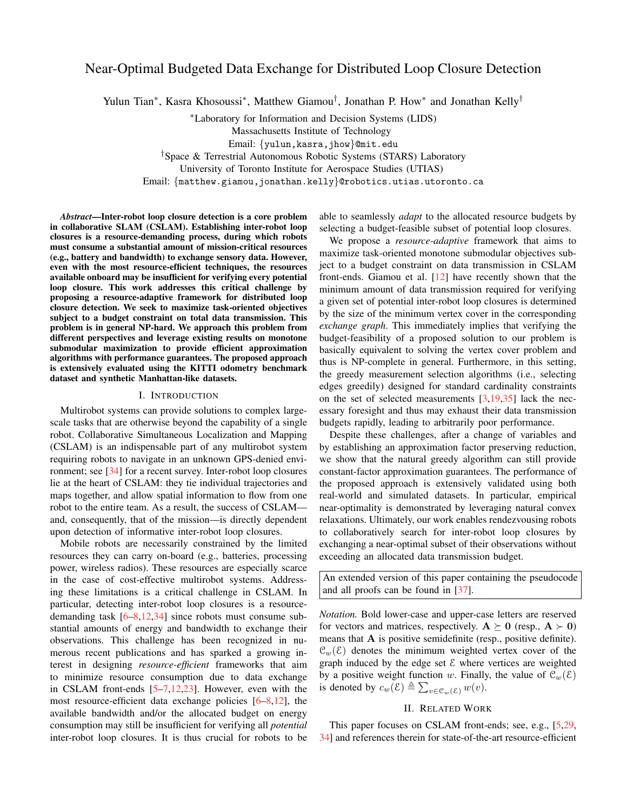# Near-Optimal Budgeted Data Exchange for Distributed Loop Closure Detection

Yulun Tian<sup>∗</sup>, Kasra Khosoussi<sup>∗</sup>, Matthew Giamou<sup>†</sup>, Jonathan P. How<sup>∗</sup> and Jonathan Kelly<sup>†</sup>

<sup>∗</sup>Laboratory for Information and Decision Systems (LIDS) Massachusetts Institute of Technology Email: {yulun,kasra,jhow}@mit.edu †Space & Terrestrial Autonomous Robotic Systems (STARS) Laboratory University of Toronto Institute for Aerospace Studies (UTIAS)

Email: {matthew.giamou,jonathan.kelly}@robotics.utias.utoronto.ca

*Abstract*—Inter-robot loop closure detection is a core problem in collaborative SLAM (CSLAM). Establishing inter-robot loop closures is a resource-demanding process, during which robots must consume a substantial amount of mission-critical resources (e.g., battery and bandwidth) to exchange sensory data. However, even with the most resource-efficient techniques, the resources available onboard may be insufficient for verifying every potential loop closure. This work addresses this critical challenge by proposing a resource-adaptive framework for distributed loop closure detection. We seek to maximize task-oriented objectives subject to a budget constraint on total data transmission. This problem is in general NP-hard. We approach this problem from different perspectives and leverage existing results on monotone submodular maximization to provide efficient approximation algorithms with performance guarantees. The proposed approach is extensively evaluated using the KITTI odometry benchmark dataset and synthetic Manhattan-like datasets.

### I. INTRODUCTION

Multirobot systems can provide solutions to complex largescale tasks that are otherwise beyond the capability of a single robot. Collaborative Simultaneous Localization and Mapping (CSLAM) is an indispensable part of any multirobot system requiring robots to navigate in an unknown GPS-denied environment; see [\[34\]](#page-9-0) for a recent survey. Inter-robot loop closures lie at the heart of CSLAM: they tie individual trajectories and maps together, and allow spatial information to flow from one robot to the entire team. As a result, the success of CSLAM and, consequently, that of the mission—is directly dependent upon detection of informative inter-robot loop closures.

Mobile robots are necessarily constrained by the limited resources they can carry on-board (e.g., batteries, processing power, wireless radios). These resources are especially scarce in the case of cost-effective multirobot systems. Addressing these limitations is a critical challenge in CSLAM. In particular, detecting inter-robot loop closures is a resourcedemanding task [\[6](#page-8-0)[–8,](#page-8-1)[12,](#page-8-2)[34\]](#page-9-0) since robots must consume substantial amounts of energy and bandwidth to exchange their observations. This challenge has been recognized in numerous recent publications and has sparked a growing interest in designing *resource-efficient* frameworks that aim to minimize resource consumption due to data exchange in CSLAM front-ends [\[5](#page-8-3)[–7](#page-8-4)[,12,](#page-8-2)[23\]](#page-8-5). However, even with the most resource-efficient data exchange policies [\[6–](#page-8-0)[8](#page-8-1)[,12\]](#page-8-2), the available bandwidth and/or the allocated budget on energy consumption may still be insufficient for verifying all *potential* inter-robot loop closures. It is thus crucial for robots to be able to seamlessly *adapt* to the allocated resource budgets by selecting a budget-feasible subset of potential loop closures.

We propose a *resource-adaptive* framework that aims to maximize task-oriented monotone submodular objectives subject to a budget constraint on data transmission in CSLAM front-ends. Giamou et al. [\[12\]](#page-8-2) have recently shown that the minimum amount of data transmission required for verifying a given set of potential inter-robot loop closures is determined by the size of the minimum vertex cover in the corresponding *exchange graph*. This immediately implies that verifying the budget-feasibility of a proposed solution to our problem is basically equivalent to solving the vertex cover problem and thus is NP-complete in general. Furthermore, in this setting, the greedy measurement selection algorithms (i.e., selecting edges greedily) designed for standard cardinality constraints on the set of selected measurements [\[3](#page-8-6)[,19,](#page-8-7)[35\]](#page-9-1) lack the necessary foresight and thus may exhaust their data transmission budgets rapidly, leading to arbitrarily poor performance.

Despite these challenges, after a change of variables and by establishing an approximation factor preserving reduction, we show that the natural greedy algorithm can still provide constant-factor approximation guarantees. The performance of the proposed approach is extensively validated using both real-world and simulated datasets. In particular, empirical near-optimality is demonstrated by leveraging natural convex relaxations. Ultimately, our work enables rendezvousing robots to collaboratively search for inter-robot loop closures by exchanging a near-optimal subset of their observations without exceeding an allocated data transmission budget.

An extended version of this paper containing the pseudocode and all proofs can be found in [\[37\]](#page-9-2).

*Notation.* Bold lower-case and upper-case letters are reserved for vectors and matrices, respectively.  $A \succeq 0$  (resp.,  $A \succ 0$ ) means that A is positive semidefinite (resp., positive definite).  $\mathcal{C}_w(\mathcal{E})$  denotes the minimum weighted vertex cover of the graph induced by the edge set  $\mathcal E$  where vertices are weighted by a positive weight function w. Finally, the value of  $\mathcal{C}_w(\mathcal{E})$ is denoted by  $c_w(\varepsilon) \triangleq \sum_{v \in \mathfrak{C}_w(\varepsilon)} w(v)$ .

# II. RELATED WORK

This paper focuses on CSLAM front-ends; see, e.g., [\[5,](#page-8-3)[29,](#page-9-3) [34\]](#page-9-0) and references therein for state-of-the-art resource-efficient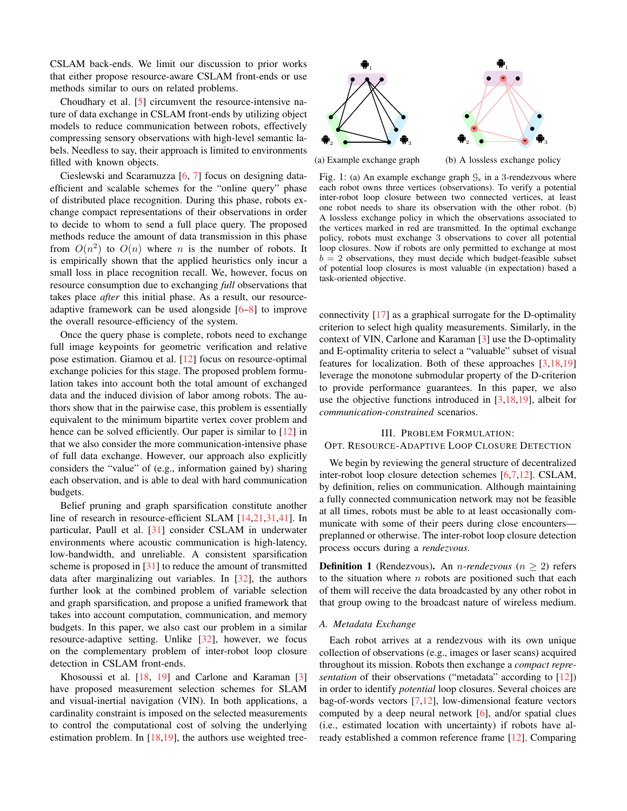CSLAM back-ends. We limit our discussion to prior works that either propose resource-aware CSLAM front-ends or use methods similar to ours on related problems.

Choudhary et al. [\[5\]](#page-8-3) circumvent the resource-intensive nature of data exchange in CSLAM front-ends by utilizing object models to reduce communication between robots, effectively compressing sensory observations with high-level semantic labels. Needless to say, their approach is limited to environments filled with known objects.

Cieslewski and Scaramuzza [\[6,](#page-8-0) [7\]](#page-8-4) focus on designing dataefficient and scalable schemes for the "online query" phase of distributed place recognition. During this phase, robots exchange compact representations of their observations in order to decide to whom to send a full place query. The proposed methods reduce the amount of data transmission in this phase from  $O(n^2)$  to  $O(n)$  where n is the number of robots. It is empirically shown that the applied heuristics only incur a small loss in place recognition recall. We, however, focus on resource consumption due to exchanging *full* observations that takes place *after* this initial phase. As a result, our resourceadaptive framework can be used alongside  $[6-8]$  $[6-8]$  to improve the overall resource-efficiency of the system.

Once the query phase is complete, robots need to exchange full image keypoints for geometric verification and relative pose estimation. Giamou et al. [\[12\]](#page-8-2) focus on resource-optimal exchange policies for this stage. The proposed problem formulation takes into account both the total amount of exchanged data and the induced division of labor among robots. The authors show that in the pairwise case, this problem is essentially equivalent to the minimum bipartite vertex cover problem and hence can be solved efficiently. Our paper is similar to [\[12\]](#page-8-2) in that we also consider the more communication-intensive phase of full data exchange. However, our approach also explicitly considers the "value" of (e.g., information gained by) sharing each observation, and is able to deal with hard communication budgets.

Belief pruning and graph sparsification constitute another line of research in resource-efficient SLAM [\[14](#page-8-8)[,21](#page-8-9)[,31](#page-9-4)[,41\]](#page-9-5). In particular, Paull et al. [\[31\]](#page-9-4) consider CSLAM in underwater environments where acoustic communication is high-latency, low-bandwidth, and unreliable. A consistent sparsification scheme is proposed in [\[31\]](#page-9-4) to reduce the amount of transmitted data after marginalizing out variables. In [\[32\]](#page-9-6), the authors further look at the combined problem of variable selection and graph sparsification, and propose a unified framework that takes into account computation, communication, and memory budgets. In this paper, we also cast our problem in a similar resource-adaptive setting. Unlike [\[32\]](#page-9-6), however, we focus on the complementary problem of inter-robot loop closure detection in CSLAM front-ends.

Khosoussi et al. [\[18,](#page-8-10) [19\]](#page-8-7) and Carlone and Karaman [\[3\]](#page-8-6) have proposed measurement selection schemes for SLAM and visual-inertial navigation (VIN). In both applications, a cardinality constraint is imposed on the selected measurements to control the computational cost of solving the underlying estimation problem. In [\[18](#page-8-10)[,19\]](#page-8-7), the authors use weighted tree-

<span id="page-1-0"></span>

(a) Example exchange graph

(b) A lossless exchange policy

Fig. 1: (a) An example exchange graph  $\mathcal{G}_{\mathsf{x}}$  in a 3-rendezvous where each robot owns three vertices (observations). To verify a potential inter-robot loop closure between two connected vertices, at least one robot needs to share its observation with the other robot. (b) A lossless exchange policy in which the observations associated to the vertices marked in red are transmitted. In the optimal exchange policy, robots must exchange 3 observations to cover all potential loop closures. Now if robots are only permitted to exchange at most  $b = 2$  observations, they must decide which budget-feasible subset of potential loop closures is most valuable (in expectation) based a task-oriented objective.

connectivity [\[17\]](#page-8-11) as a graphical surrogate for the D-optimality criterion to select high quality measurements. Similarly, in the context of VIN, Carlone and Karaman [\[3\]](#page-8-6) use the D-optimality and E-optimality criteria to select a "valuable" subset of visual features for localization. Both of these approaches [\[3](#page-8-6)[,18](#page-8-10)[,19\]](#page-8-7) leverage the monotone submodular property of the D-criterion to provide performance guarantees. In this paper, we also use the objective functions introduced in  $[3,18,19]$  $[3,18,19]$  $[3,18,19]$ , albeit for *communication-constrained* scenarios.

### III. PROBLEM FORMULATION:

# <span id="page-1-1"></span>OPT. RESOURCE-ADAPTIVE LOOP CLOSURE DETECTION

We begin by reviewing the general structure of decentralized inter-robot loop closure detection schemes [\[6](#page-8-0)[,7](#page-8-4)[,12\]](#page-8-2). CSLAM, by definition, relies on communication. Although maintaining a fully connected communication network may not be feasible at all times, robots must be able to at least occasionally communicate with some of their peers during close encounters preplanned or otherwise. The inter-robot loop closure detection process occurs during a *rendezvous*.

**Definition 1** (Rendezvous). An *n*-rendezvous ( $n \geq 2$ ) refers to the situation where  $n$  robots are positioned such that each of them will receive the data broadcasted by any other robot in that group owing to the broadcast nature of wireless medium.

# *A. Metadata Exchange*

Each robot arrives at a rendezvous with its own unique collection of observations (e.g., images or laser scans) acquired throughout its mission. Robots then exchange a *compact representation* of their observations ("metadata" according to [\[12\]](#page-8-2)) in order to identify *potential* loop closures. Several choices are bag-of-words vectors [\[7,](#page-8-4)[12\]](#page-8-2), low-dimensional feature vectors computed by a deep neural network [\[6\]](#page-8-0), and/or spatial clues (i.e., estimated location with uncertainty) if robots have already established a common reference frame [\[12\]](#page-8-2). Comparing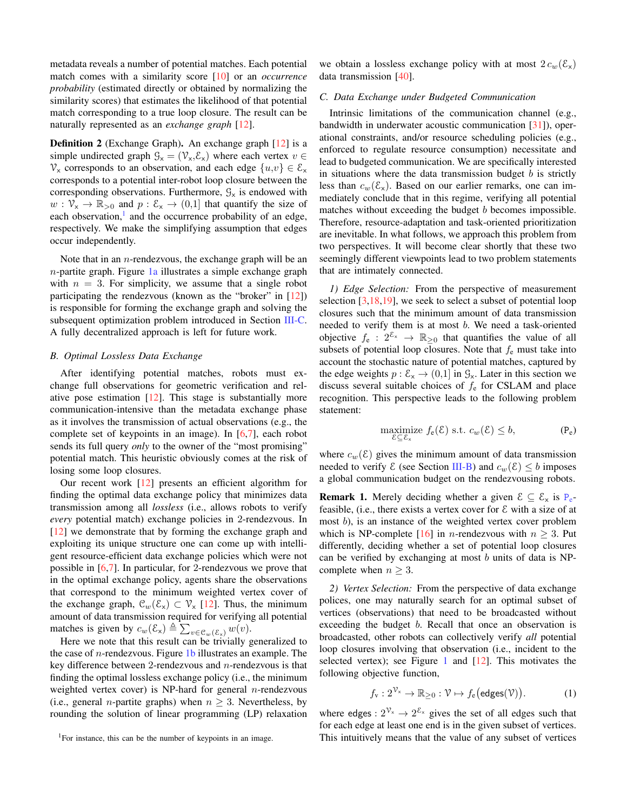metadata reveals a number of potential matches. Each potential match comes with a similarity score [\[10\]](#page-8-12) or an *occurrence probability* (estimated directly or obtained by normalizing the similarity scores) that estimates the likelihood of that potential match corresponding to a true loop closure. The result can be naturally represented as an *exchange graph* [\[12\]](#page-8-2).

<span id="page-2-4"></span>Definition 2 (Exchange Graph). An exchange graph [\[12\]](#page-8-2) is a simple undirected graph  $\mathcal{G}_{x} = (\mathcal{V}_{x}, \mathcal{E}_{x})$  where each vertex  $v \in$  $V_x$  corresponds to an observation, and each edge  $\{u,v\} \in \mathcal{E}_x$ corresponds to a potential inter-robot loop closure between the corresponding observations. Furthermore,  $\mathcal{G}_{\mathsf{x}}$  is endowed with  $w: \mathcal{V}_{x} \to \mathbb{R}_{>0}$  and  $p: \mathcal{E}_{x} \to (0,1]$  that quantify the size of each observation,<sup>[1](#page-2-0)</sup> and the occurrence probability of an edge, respectively. We make the simplifying assumption that edges occur independently.

Note that in an *n*-rendezvous, the exchange graph will be an  $n$ -partite graph. Figure  $1a$  illustrates a simple exchange graph with  $n = 3$ . For simplicity, we assume that a single robot participating the rendezvous (known as the "broker" in [\[12\]](#page-8-2)) is responsible for forming the exchange graph and solving the subsequent optimization problem introduced in Section [III-C.](#page-2-1) A fully decentralized approach is left for future work.

### <span id="page-2-2"></span>*B. Optimal Lossless Data Exchange*

After identifying potential matches, robots must exchange full observations for geometric verification and relative pose estimation [\[12\]](#page-8-2). This stage is substantially more communication-intensive than the metadata exchange phase as it involves the transmission of actual observations (e.g., the complete set of keypoints in an image). In  $[6,7]$  $[6,7]$ , each robot sends its full query *only* to the owner of the "most promising" potential match. This heuristic obviously comes at the risk of losing some loop closures.

Our recent work [\[12\]](#page-8-2) presents an efficient algorithm for finding the optimal data exchange policy that minimizes data transmission among all *lossless* (i.e., allows robots to verify *every* potential match) exchange policies in 2-rendezvous. In [\[12\]](#page-8-2) we demonstrate that by forming the exchange graph and exploiting its unique structure one can come up with intelligent resource-efficient data exchange policies which were not possible in [\[6,](#page-8-0)[7\]](#page-8-4). In particular, for 2-rendezvous we prove that in the optimal exchange policy, agents share the observations that correspond to the minimum weighted vertex cover of the exchange graph,  $\mathcal{C}_w(\mathcal{E}_x) \subset \mathcal{V}_x$  [\[12\]](#page-8-2). Thus, the minimum amount of data transmission required for verifying all potential matches is given by  $c_w(\mathcal{E}_x) \triangleq \sum_{v \in \mathcal{C}_w(\mathcal{E}_x)} w(v)$ .

Here we note that this result can be trivially generalized to the case of *n*-rendezvous. Figure  $1<sub>b</sub>$  illustrates an example. The key difference between 2-rendezvous and  $n$ -rendezvous is that finding the optimal lossless exchange policy (i.e., the minimum weighted vertex cover) is NP-hard for general  $n$ -rendezvous (i.e., general *n*-partite graphs) when  $n \geq 3$ . Nevertheless, by rounding the solution of linear programming (LP) relaxation we obtain a lossless exchange policy with at most  $2 c_w(\mathcal{E}_x)$ data transmission [\[40\]](#page-9-7).

### <span id="page-2-1"></span>*C. Data Exchange under Budgeted Communication*

Intrinsic limitations of the communication channel (e.g., bandwidth in underwater acoustic communication [\[31\]](#page-9-4)), operational constraints, and/or resource scheduling policies (e.g., enforced to regulate resource consumption) necessitate and lead to budgeted communication. We are specifically interested in situations where the data transmission budget  $b$  is strictly less than  $c_w(\mathcal{E}_x)$ . Based on our earlier remarks, one can immediately conclude that in this regime, verifying all potential matches without exceeding the budget b becomes impossible. Therefore, resource-adaptation and task-oriented prioritization are inevitable. In what follows, we approach this problem from two perspectives. It will become clear shortly that these two seemingly different viewpoints lead to two problem statements that are intimately connected.

*1) Edge Selection:* From the perspective of measurement selection  $[3,18,19]$  $[3,18,19]$  $[3,18,19]$ , we seek to select a subset of potential loop closures such that the minimum amount of data transmission needed to verify them is at most b. We need a task-oriented objective  $f_e$  :  $2^{\mathcal{E}_x} \rightarrow \mathbb{R}_{\geq 0}$  that quantifies the value of all subsets of potential loop closures. Note that  $f_e$  must take into account the stochastic nature of potential matches, captured by the edge weights  $p : \mathcal{E}_{x} \to (0,1]$  in  $\mathcal{G}_{x}$ . Later in this section we discuss several suitable choices of  $f<sub>e</sub>$  for CSLAM and place recognition. This perspective leads to the following problem statement:

<span id="page-2-3"></span>
$$
\underset{\varepsilon \subset \varepsilon_x}{\text{maximize}} \ f_e(\varepsilon) \text{ s.t. } c_w(\varepsilon) \le b,\tag{P_e}
$$

where  $c_w(\mathcal{E})$  gives the minimum amount of data transmission needed to verify  $\mathcal E$  (see Section [III-B\)](#page-2-2) and  $c_w(\mathcal E) \leq b$  imposes a global communication budget on the rendezvousing robots.

**Remark 1.** Merely deciding whether a given  $\mathcal{E} \subseteq \mathcal{E}_x$  is  $P_e$  $P_e$ feasible, (i.e., there exists a vertex cover for  $\epsilon$  with a size of at most b), is an instance of the weighted vertex cover problem which is NP-complete [\[16\]](#page-8-13) in *n*-rendezvous with  $n \geq 3$ . Put differently, deciding whether a set of potential loop closures can be verified by exchanging at most  $b$  units of data is NPcomplete when  $n \geq 3$ .

*2) Vertex Selection:* From the perspective of data exchange polices, one may naturally search for an optimal subset of vertices (observations) that need to be broadcasted without exceeding the budget *b*. Recall that once an observation is broadcasted, other robots can collectively verify *all* potential loop closures involving that observation (i.e., incident to the selected vertex); see Figure [1](#page-1-0) and  $[12]$ . This motivates the following objective function,

$$
f_{\mathsf{v}}: 2^{\mathcal{V}_{\mathsf{x}}}\to \mathbb{R}_{\geq 0} : \mathcal{V}\mapsto f_{\mathsf{e}}\big(\mathsf{edges}(\mathcal{V})\big).
$$
 (1)

where edges :  $2^{\mathcal{V}_x} \rightarrow 2^{\mathcal{E}_x}$  gives the set of all edges such that for each edge at least one end is in the given subset of vertices. This intuitively means that the value of any subset of vertices

<span id="page-2-0"></span><sup>&</sup>lt;sup>1</sup>For instance, this can be the number of keypoints in an image.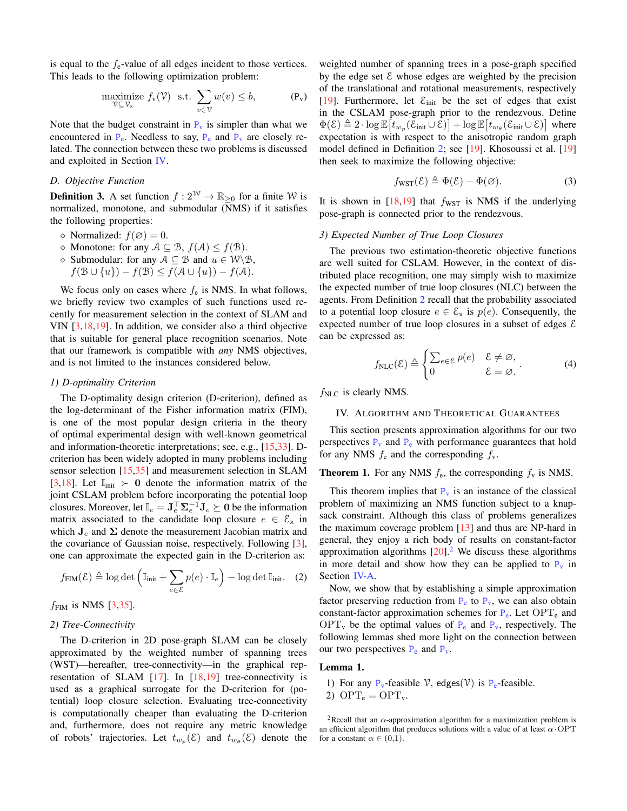is equal to the  $f_e$ -value of all edges incident to those vertices. This leads to the following optimization problem:

<span id="page-3-5"></span>
$$
\underset{\mathcal{V} \subseteq \mathcal{V}_x}{\text{maximize}} \ f_v(\mathcal{V}) \quad \text{s.t.} \ \sum_{v \in \mathcal{V}} w(v) \le b, \tag{P_v}
$$

Note that the budget constraint in  $P_v$  $P_v$  is simpler than what we encountered in  $P_e$  $P_e$ . Needless to say,  $P_e$  and  $P_v$  are closely related. The connection between these two problems is discussed and exploited in Section [IV.](#page-3-1)

# <span id="page-3-6"></span>*D. Objective Function*

**Definition 3.** A set function  $f: 2^{\mathcal{W}} \to \mathbb{R}_{\geq 0}$  for a finite W is normalized, monotone, and submodular (NMS) if it satisfies the following properties:

- $\Diamond$  Normalized:  $f(\emptyset) = 0$ .
- $\Diamond$  Monotone: for any  $A \subseteq B$ ,  $f(A) \leq f(B)$ .
- $\Diamond$  Submodular: for any  $A \subseteq B$  and  $u \in W \setminus B$ ,
- $f(\mathcal{B} \cup \{u\}) f(\mathcal{B}) \leq f(\mathcal{A} \cup \{u\}) f(\mathcal{A}).$

We focus only on cases where  $f_e$  is NMS. In what follows, we briefly review two examples of such functions used recently for measurement selection in the context of SLAM and VIN [\[3](#page-8-6)[,18](#page-8-10)[,19\]](#page-8-7). In addition, we consider also a third objective that is suitable for general place recognition scenarios. Note that our framework is compatible with *any* NMS objectives, and is not limited to the instances considered below.

### *1) D-optimality Criterion*

The D-optimality design criterion (D-criterion), defined as the log-determinant of the Fisher information matrix (FIM), is one of the most popular design criteria in the theory of optimal experimental design with well-known geometrical and information-theoretic interpretations; see, e.g., [\[15](#page-8-14)[,33\]](#page-9-8). Dcriterion has been widely adopted in many problems including sensor selection [\[15,](#page-8-14)[35\]](#page-9-1) and measurement selection in SLAM [\[3](#page-8-6)[,18\]](#page-8-10). Let  $\mathbb{I}_{\text{init}} \succ 0$  denote the information matrix of the joint CSLAM problem before incorporating the potential loop closures. Moreover, let  $\mathbb{I}_e = \mathbf{J}_e^{\top} \mathbf{\Sigma}_e^{-1} \mathbf{J}_e \succeq \mathbf{0}$  be the information matrix associated to the candidate loop closure  $e \in \mathcal{E}_x$  in which  $J_e$  and  $\Sigma$  denote the measurement Jacobian matrix and the covariance of Gaussian noise, respectively. Following [\[3\]](#page-8-6), one can approximate the expected gain in the D-criterion as:

$$
f_{\text{FIM}}(\mathcal{E}) \triangleq \log \det \left( \mathbb{I}_{\text{init}} + \sum_{e \in \mathcal{E}} p(e) \cdot \mathbb{I}_e \right) - \log \det \mathbb{I}_{\text{init}}.
$$
 (2)

 $f_{\text{FIM}}$  is NMS [\[3,](#page-8-6)[35\]](#page-9-1).

### *2) Tree-Connectivity*

The D-criterion in 2D pose-graph SLAM can be closely approximated by the weighted number of spanning trees (WST)—hereafter, tree-connectivity—in the graphical representation of SLAM  $[17]$ . In  $[18,19]$  $[18,19]$  tree-connectivity is used as a graphical surrogate for the D-criterion for (potential) loop closure selection. Evaluating tree-connectivity is computationally cheaper than evaluating the D-criterion and, furthermore, does not require any metric knowledge of robots' trajectories. Let  $t_{w_p}(\varepsilon)$  and  $t_{w_\theta}(\varepsilon)$  denote the

<span id="page-3-0"></span>weighted number of spanning trees in a pose-graph specified by the edge set  $\mathcal E$  whose edges are weighted by the precision of the translational and rotational measurements, respectively [\[19\]](#page-8-7). Furthermore, let  $\mathcal{E}_{init}$  be the set of edges that exist in the CSLAM pose-graph prior to the rendezvous. Define  $\Phi(\mathcal{E}) \triangleq 2 \cdot \log \mathbb{E} \big[ t_{w_p}(\mathcal{E}_{\text{init}} \cup \mathcal{E}) \big] + \log \mathbb{E} \big[ t_{w_\theta}(\mathcal{E}_{\text{init}} \cup \mathcal{E}) \big]$  where expectation is with respect to the anisotropic random graph model defined in Definition [2;](#page-2-4) see [\[19\]](#page-8-7). Khosoussi et al. [\[19\]](#page-8-7) then seek to maximize the following objective:

<span id="page-3-7"></span>
$$
f_{\text{WST}}(\mathcal{E}) \triangleq \Phi(\mathcal{E}) - \Phi(\varnothing). \tag{3}
$$

It is shown in  $[18,19]$  $[18,19]$  that  $f_{\text{WST}}$  is NMS if the underlying pose-graph is connected prior to the rendezvous.

### <span id="page-3-3"></span>*3) Expected Number of True Loop Closures*

The previous two estimation-theoretic objective functions are well suited for CSLAM. However, in the context of distributed place recognition, one may simply wish to maximize the expected number of true loop closures (NLC) between the agents. From Definition [2](#page-2-4) recall that the probability associated to a potential loop closure  $e \in \mathcal{E}_x$  is  $p(e)$ . Consequently, the expected number of true loop closures in a subset of edges  $\epsilon$ can be expressed as:

<span id="page-3-4"></span>
$$
f_{\text{NLC}}(\mathcal{E}) \triangleq \begin{cases} \sum_{e \in \mathcal{E}} p(e) & \mathcal{E} \neq \varnothing, \\ 0 & \mathcal{E} = \varnothing. \end{cases} \tag{4}
$$

 $f_{\rm NLC}$  is clearly NMS.

### <span id="page-3-1"></span>IV. ALGORITHM AND THEORETICAL GUARANTEES

This section presents approximation algorithms for our two perspectives  $P_v$  $P_v$  and  $P_e$  with performance guarantees that hold for any NMS  $f_e$  and the corresponding  $f_v$ .

# **Theorem 1.** For any NMS  $f_e$ , the corresponding  $f_v$  is NMS.

This theorem implies that  $P_v$  $P_v$  is an instance of the classical problem of maximizing an NMS function subject to a knapsack constraint. Although this class of problems generalizes the maximum coverage problem  $[13]$  and thus are NP-hard in general, they enjoy a rich body of results on constant-factor approximation algorithms  $[20]$ <sup>[2](#page-3-2)</sup> We discuss these algorithms in more detail and show how they can be applied to  $P_v$  $P_v$  in Section [IV-A.](#page-4-0)

Now, we show that by establishing a simple approximation factor preserving reduction from  $P_e$  $P_e$  to  $P_v$ , we can also obtain constant-factor approximation schemes for  $P_e$  $P_e$ . Let OPT<sub>e</sub> and  $OPT_v$  $OPT_v$  $OPT_v$  be the optimal values of  $P_e$  and  $P_v$ , respectively. The following lemmas shed more light on the connection between our two perspectives  $P_e$  $P_e$  and  $P_v$ .

#### Lemma 1.

1) For any  $P_v$  $P_v$ -feasible  $\mathcal V$ , edges( $\mathcal V$ ) is  $P_e$ -feasible.

2)  $OPT_e = OPT_v$ .

<span id="page-3-2"></span><sup>2</sup>Recall that an  $\alpha$ -approximation algorithm for a maximization problem is an efficient algorithm that produces solutions with a value of at least  $\alpha$  OPT for a constant  $\alpha \in (0,1)$ .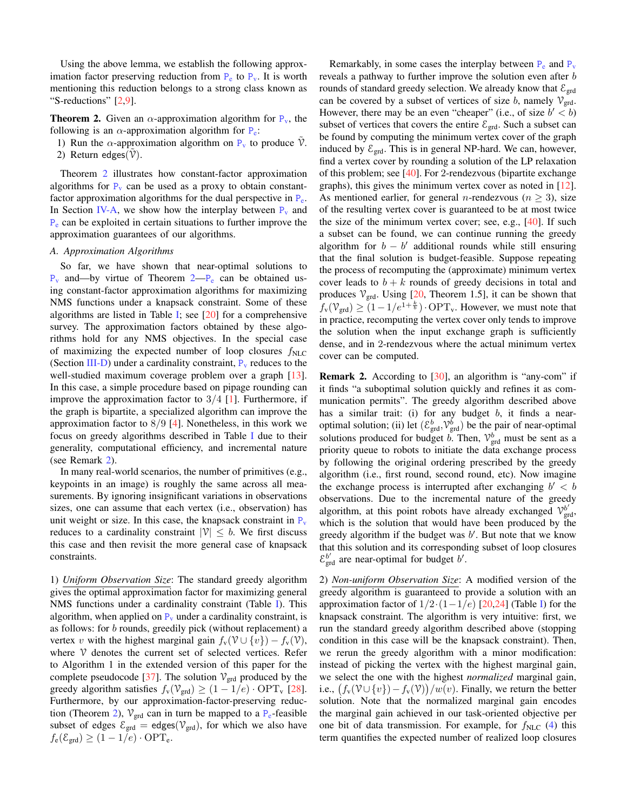Using the above lemma, we establish the following approximation factor preserving reduction from  $P_e$  $P_e$  to  $P_v$ . It is worth mentioning this reduction belongs to a strong class known as "S-reductions" [\[2](#page-8-17)[,9\]](#page-8-18).

**Theorem 2.** Given an  $\alpha$ -approximation algorithm for  $P_v$  $P_v$ , the following is an  $\alpha$ -approximation algorithm for  $P_e$  $P_e$ :

- 1) Run the  $\alpha$ -approximation algorithm on  $P_v$  $P_v$  to produce  $\mathcal V$ .
- <span id="page-4-1"></span>2) Return edges $(\mathcal{V})$ .

Theorem [2](#page-4-1) illustrates how constant-factor approximation algorithms for  $P_v$  $P_v$  can be used as a proxy to obtain constantfactor approximation algorithms for the dual perspective in  $P_e$  $P_e$ . In Section [IV-A,](#page-4-0) we show how the interplay between  $P_v$  $P_v$  and  $P_e$  $P_e$  can be exploited in certain situations to further improve the approximation guarantees of our algorithms.

### <span id="page-4-0"></span>*A. Approximation Algorithms*

So far, we have shown that near-optimal solutions to  $P_v$  $P_v$  and—by virtue of Theorem  $2-P_e$  can be obtained using constant-factor approximation algorithms for maximizing NMS functions under a knapsack constraint. Some of these algorithms are listed in Table [I;](#page-5-0) see  $[20]$  for a comprehensive survey. The approximation factors obtained by these algorithms hold for any NMS objectives. In the special case of maximizing the expected number of loop closures  $f_{\text{NLC}}$ (Section [III-D\)](#page-3-3) under a cardinality constraint,  $P_v$  $P_v$  reduces to the well-studied maximum coverage problem over a graph [\[13\]](#page-8-15). In this case, a simple procedure based on pipage rounding can improve the approximation factor to  $3/4$  [\[1\]](#page-8-19). Furthermore, if the graph is bipartite, a specialized algorithm can improve the approximation factor to  $8/9$  [\[4\]](#page-8-20). Nonetheless, in this work we focus on greedy algorithms described in Table [I](#page-5-0) due to their generality, computational efficiency, and incremental nature (see Remark [2\)](#page-4-2).

In many real-world scenarios, the number of primitives (e.g., keypoints in an image) is roughly the same across all measurements. By ignoring insignificant variations in observations sizes, one can assume that each vertex (i.e., observation) has unit weight or size. In this case, the knapsack constraint in  $P_v$  $P_v$ reduces to a cardinality constraint  $|\mathcal{V}| \leq b$ . We first discuss this case and then revisit the more general case of knapsack constraints.

1) *Uniform Observation Size*: The standard greedy algorithm gives the optimal approximation factor for maximizing general NMS functions under a cardinality constraint (Table [I\)](#page-5-0). This algorithm, when applied on  $P_v$  $P_v$  under a cardinality constraint, is as follows: for b rounds, greedily pick (without replacement) a vertex v with the highest marginal gain  $f_v(\mathcal{V} \cup \{v\}) - f_v(\mathcal{V}),$ where  $V$  denotes the current set of selected vertices. Refer to Algorithm 1 in the extended version of this paper for the complete pseudocode [\[37\]](#page-9-2). The solution  $V_{\text{grd}}$  produced by the greedy algorithm satisfies  $f_v(\mathcal{V}_{\text{grd}}) \ge (1 - 1/e) \cdot \text{OPT}_v$  [\[28\]](#page-9-9). Furthermore, by our approximation-factor-preserving reduc-tion (Theorem [2\)](#page-4-1),  $V_{\text{grd}}$  can in turn be mapped to a  $P_e$  $P_e$ -feasible subset of edges  $\mathcal{E}_{\text{grd}} = \text{edges}(\mathcal{V}_{\text{grd}})$ , for which we also have  $f_e(\mathcal{E}_{\text{grd}}) \geq (1 - 1/e) \cdot \text{OPT}_e.$ 

Remarkably, in some cases the interplay between  $P_e$  $P_e$  and  $P_v$ reveals a pathway to further improve the solution even after b rounds of standard greedy selection. We already know that  $\mathcal{E}_{\text{grd}}$ can be covered by a subset of vertices of size b, namely  $V_{\text{grd}}$ . However, there may be an even "cheaper" (i.e., of size  $b' < b$ ) subset of vertices that covers the entire  $\mathcal{E}_{\text{grd}}$ . Such a subset can be found by computing the minimum vertex cover of the graph induced by  $\mathcal{E}_{\text{grd}}$ . This is in general NP-hard. We can, however, find a vertex cover by rounding a solution of the LP relaxation of this problem; see [\[40\]](#page-9-7). For 2-rendezvous (bipartite exchange graphs), this gives the minimum vertex cover as noted in [\[12\]](#page-8-2). As mentioned earlier, for general *n*-rendezvous ( $n \geq 3$ ), size of the resulting vertex cover is guaranteed to be at most twice the size of the minimum vertex cover; see, e.g., [\[40\]](#page-9-7). If such a subset can be found, we can continue running the greedy algorithm for  $b - b'$  additional rounds while still ensuring that the final solution is budget-feasible. Suppose repeating the process of recomputing the (approximate) minimum vertex cover leads to  $b + k$  rounds of greedy decisions in total and produces  $V_{\text{grd}}$ . Using [\[20,](#page-8-16) Theorem 1.5], it can be shown that  $f_{\rm v}(\mathcal{V}_{\rm grad}) \ge (1 - 1/e^{1 + \frac{k}{b}}) \cdot \text{OPT}_{\rm v}$ . However, we must note that in practice, recomputing the vertex cover only tends to improve the solution when the input exchange graph is sufficiently dense, and in 2-rendezvous where the actual minimum vertex cover can be computed.

<span id="page-4-2"></span>Remark 2. According to [\[30\]](#page-9-10), an algorithm is "any-com" if it finds "a suboptimal solution quickly and refines it as communication permits". The greedy algorithm described above has a similar trait: (i) for any budget b, it finds a nearoptimal solution; (ii) let  $(\mathcal{E}^b_{\text{grd}}, \mathcal{V}^b_{\text{grd}})$  be the pair of near-optimal solutions produced for budget *b*. Then,  $\mathcal{V}_{\text{grd}}^b$  must be sent as a priority queue to robots to initiate the data exchange process by following the original ordering prescribed by the greedy algorithm (i.e., first round, second round, etc). Now imagine the exchange process is interrupted after exchanging  $b' < b$ observations. Due to the incremental nature of the greedy algorithm, at this point robots have already exchanged  $v_{\text{grd}}^{b'}$ , which is the solution that would have been produced by the greedy algorithm if the budget was  $b'$ . But note that we know that this solution and its corresponding subset of loop closures  $\mathcal{E}_{\text{grd}}^{b'}$  are near-optimal for budget  $b'$ .

2) *Non-uniform Observation Size*: A modified version of the greedy algorithm is guaranteed to provide a solution with an approximation factor of  $1/2 \cdot (1-1/e)$  [\[20](#page-8-16)[,24\]](#page-8-21) (Table [I\)](#page-5-0) for the knapsack constraint. The algorithm is very intuitive: first, we run the standard greedy algorithm described above (stopping condition in this case will be the knapsack constraint). Then, we rerun the greedy algorithm with a minor modification: instead of picking the vertex with the highest marginal gain, we select the one with the highest *normalized* marginal gain, i.e.,  $(f_v(\mathcal{V} \cup \{v\}) - f_v(\mathcal{V})) / w(v)$ . Finally, we return the better solution. Note that the normalized marginal gain encodes the marginal gain achieved in our task-oriented objective per one bit of data transmission. For example, for  $f_{\text{NLC}}$  [\(4\)](#page-3-4) this term quantifies the expected number of realized loop closures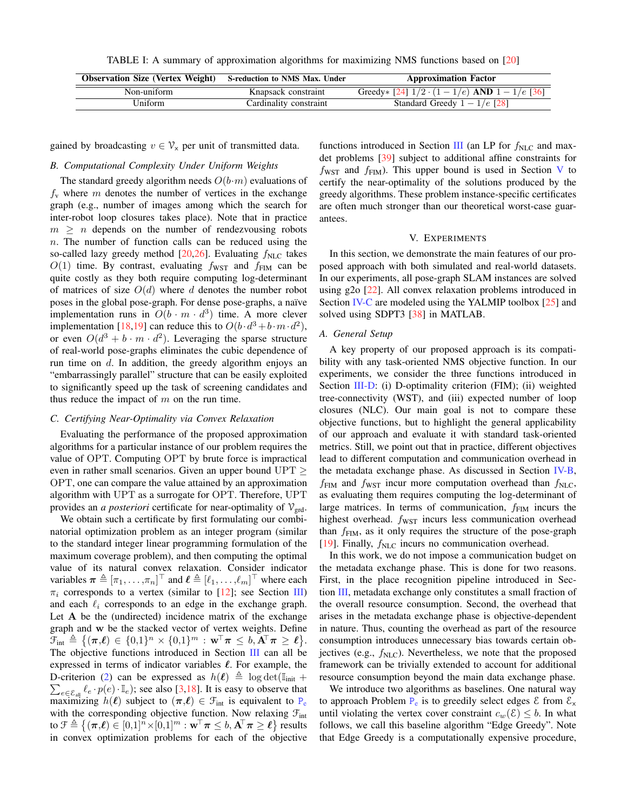TABLE I: A summary of approximation algorithms for maximizing NMS functions based on [\[20\]](#page-8-16)

<span id="page-5-0"></span>

| <b>Observation Size (Vertex Weight)</b> S-reduction to NMS Max. Under |                        | <b>Approximation Factor</b>                            |
|-----------------------------------------------------------------------|------------------------|--------------------------------------------------------|
| Non-uniform                                                           | Knapsack constraint    | Greedy * [24] $1/2 \cdot (1 - 1/e)$ AND $1 - 1/e$ [36] |
| Uniform                                                               | Cardinality constraint | Standard Greedy $1 - 1/e$ [28]                         |

gained by broadcasting  $v \in V_x$  per unit of transmitted data.

# <span id="page-5-3"></span>*B. Computational Complexity Under Uniform Weights*

The standard greedy algorithm needs  $O(b \cdot m)$  evaluations of  $f<sub>y</sub>$  where m denotes the number of vertices in the exchange graph (e.g., number of images among which the search for inter-robot loop closures takes place). Note that in practice  $m > n$  depends on the number of rendezvousing robots  $n$ . The number of function calls can be reduced using the so-called lazy greedy method [\[20](#page-8-16)[,26\]](#page-9-12). Evaluating  $f_{\text{NLC}}$  takes  $O(1)$  time. By contrast, evaluating  $f_{\text{WST}}$  and  $f_{\text{FIM}}$  can be quite costly as they both require computing log-determinant of matrices of size  $O(d)$  where d denotes the number robot poses in the global pose-graph. For dense pose-graphs, a naïve implementation runs in  $O(b \cdot m \cdot d^3)$  time. A more clever implementation [\[18,](#page-8-10)[19\]](#page-8-7) can reduce this to  $O(b \cdot d^3 + b \cdot m \cdot d^2)$ , or even  $O(d^3 + b \cdot m \cdot d^2)$ . Leveraging the sparse structure of real-world pose-graphs eliminates the cubic dependence of run time on  $d$ . In addition, the greedy algorithm enjoys an "embarrassingly parallel" structure that can be easily exploited to significantly speed up the task of screening candidates and thus reduce the impact of  $m$  on the run time.

# <span id="page-5-2"></span>*C. Certifying Near-Optimality via Convex Relaxation*

Evaluating the performance of the proposed approximation algorithms for a particular instance of our problem requires the value of OPT. Computing OPT by brute force is impractical even in rather small scenarios. Given an upper bound  $UPT \ge$ OPT, one can compare the value attained by an approximation algorithm with UPT as a surrogate for OPT. Therefore, UPT provides an *a posteriori* certificate for near-optimality of  $V_{\text{grd}}$ .

We obtain such a certificate by first formulating our combinatorial optimization problem as an integer program (similar to the standard integer linear programming formulation of the maximum coverage problem), and then computing the optimal value of its natural convex relaxation. Consider indicator variables  $\boldsymbol{\pi} \triangleq [\pi_1, \dots, \pi_n]^\top$  and  $\boldsymbol{\ell} \triangleq [\ell_1, \dots, \ell_m]^\top$  where each  $\pi_i$  corresponds to a vertex (similar to [\[12\]](#page-8-2); see Section [III\)](#page-1-1) and each  $\ell_i$  corresponds to an edge in the exchange graph. Let A be the (undirected) incidence matrix of the exchange graph and w be the stacked vector of vertex weights. Define  $\overline{\mathfrak{F}}_{\rm int}\triangleq\big\{(\boldsymbol{\pi}{,}\boldsymbol{\ell})\in\{0{,}1\}^n\times\{0{,}1\}^m: \boldsymbol{\mathrm{w}}^\top\boldsymbol{\pi}\leq b,\bar{\mathbf{A}}^\top\boldsymbol{\pi}\geq\boldsymbol{\ell}\big\}.$ The objective functions introduced in Section [III](#page-1-1) can all be expressed in terms of indicator variables  $\ell$ . For example, the  $\sum_{e \in \mathcal{E}_{all}} \ell_e \cdot p(e) \cdot \mathbb{I}_e$ ; see also [\[3](#page-8-6)[,18\]](#page-8-10). It is easy to observe that D-criterion [\(2\)](#page-3-5) can be expressed as  $h(\ell) \triangleq \log \det(\mathbb{I}_{\text{init}} +$ maximizing  $h(\ell)$  subject to  $(\pi,\ell) \in \mathcal{F}_{int}$  is equivalent to [P](#page-2-3)<sub>e</sub> with the corresponding objective function. Now relaxing  $\mathcal{F}_{int}$ to  $\mathfrak{F}\triangleq\left\{(\boldsymbol{\pi}{,}\boldsymbol{\ell})\in[0,1]^{n}\!\times\![0,1]^{m}:\mathbf{w}^{\!\top}\boldsymbol{\pi}\leq b,\mathbf{A}^{\!\top}\boldsymbol{\pi}\geq\boldsymbol{\ell}\right\}$  results in convex optimization problems for each of the objective functions introduced in Section [III](#page-1-1) (an LP for  $f_{\text{NLC}}$  and maxdet problems [\[39\]](#page-9-13) subject to additional affine constraints for  $f_{\text{WST}}$  and  $f_{\text{FIM}}$ ). This upper bound is used in Section [V](#page-5-1) to certify the near-optimality of the solutions produced by the greedy algorithms. These problem instance-specific certificates are often much stronger than our theoretical worst-case guarantees.

# V. EXPERIMENTS

<span id="page-5-1"></span>In this section, we demonstrate the main features of our proposed approach with both simulated and real-world datasets. In our experiments, all pose-graph SLAM instances are solved using g2o [\[22\]](#page-8-22). All convex relaxation problems introduced in Section [IV-C](#page-5-2) are modeled using the YALMIP toolbox [\[25\]](#page-9-14) and solved using SDPT3 [\[38\]](#page-9-15) in MATLAB.

#### *A. General Setup*

A key property of our proposed approach is its compatibility with any task-oriented NMS objective function. In our experiments, we consider the three functions introduced in Section [III-D:](#page-3-6) (i) D-optimality criterion (FIM); (ii) weighted tree-connectivity (WST), and (iii) expected number of loop closures (NLC). Our main goal is not to compare these objective functions, but to highlight the general applicability of our approach and evaluate it with standard task-oriented metrics. Still, we point out that in practice, different objectives lead to different computation and communication overhead in the metadata exchange phase. As discussed in Section [IV-B,](#page-5-3)  $f_{\text{FIM}}$  and  $f_{\text{WST}}$  incur more computation overhead than  $f_{\text{NLC}}$ , as evaluating them requires computing the log-determinant of large matrices. In terms of communication,  $f_{\text{FIM}}$  incurs the highest overhead.  $f_{\text{WST}}$  incurs less communication overhead than  $f_{\text{FIM}}$ , as it only requires the structure of the pose-graph [\[19\]](#page-8-7). Finally,  $f_{\text{NLC}}$  incurs no communication overhead.

In this work, we do not impose a communication budget on the metadata exchange phase. This is done for two reasons. First, in the place recognition pipeline introduced in Section [III,](#page-1-1) metadata exchange only constitutes a small fraction of the overall resource consumption. Second, the overhead that arises in the metadata exchange phase is objective-dependent in nature. Thus, counting the overhead as part of the resource consumption introduces unnecessary bias towards certain objectives (e.g.,  $f_{\text{NLC}}$ ). Nevertheless, we note that the proposed framework can be trivially extended to account for additional resource consumption beyond the main data exchange phase.

We introduce two algorithms as baselines. One natural way to approach [P](#page-2-3)roblem  $P_e$  is to greedily select edges  $\mathcal E$  from  $\mathcal E_x$ until violating the vertex cover constraint  $c_w(\mathcal{E}) \leq b$ . In what follows, we call this baseline algorithm "Edge Greedy". Note that Edge Greedy is a computationally expensive procedure,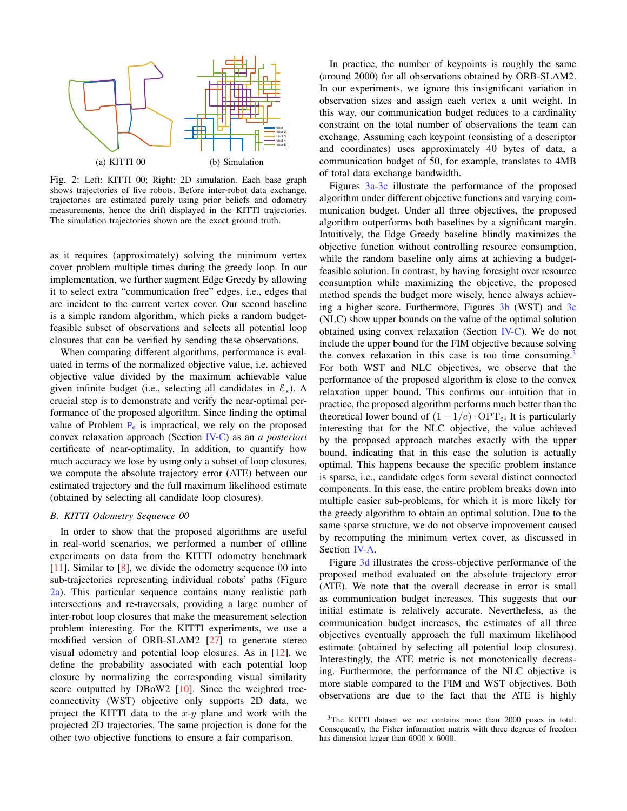<span id="page-6-0"></span>

Fig. 2: Left: KITTI 00; Right: 2D simulation. Each base graph shows trajectories of five robots. Before inter-robot data exchange, trajectories are estimated purely using prior beliefs and odometry measurements, hence the drift displayed in the KITTI trajectories. The simulation trajectories shown are the exact ground truth.

as it requires (approximately) solving the minimum vertex cover problem multiple times during the greedy loop. In our implementation, we further augment Edge Greedy by allowing it to select extra "communication free" edges, i.e., edges that are incident to the current vertex cover. Our second baseline is a simple random algorithm, which picks a random budgetfeasible subset of observations and selects all potential loop closures that can be verified by sending these observations.

When comparing different algorithms, performance is evaluated in terms of the normalized objective value, i.e. achieved objective value divided by the maximum achievable value given infinite budget (i.e., selecting all candidates in  $\mathcal{E}_x$ ). A crucial step is to demonstrate and verify the near-optimal performance of the proposed algorithm. Since finding the optimal value of [P](#page-2-3)roblem  $P_e$  is impractical, we rely on the proposed convex relaxation approach (Section [IV-C\)](#page-5-2) as an *a posteriori* certificate of near-optimality. In addition, to quantify how much accuracy we lose by using only a subset of loop closures, we compute the absolute trajectory error (ATE) between our estimated trajectory and the full maximum likelihood estimate (obtained by selecting all candidate loop closures).

## *B. KITTI Odometry Sequence 00*

In order to show that the proposed algorithms are useful in real-world scenarios, we performed a number of offline experiments on data from the KITTI odometry benchmark [\[11\]](#page-8-23). Similar to [\[8\]](#page-8-1), we divide the odometry sequence 00 into sub-trajectories representing individual robots' paths (Figure [2a\)](#page-6-0). This particular sequence contains many realistic path intersections and re-traversals, providing a large number of inter-robot loop closures that make the measurement selection problem interesting. For the KITTI experiments, we use a modified version of ORB-SLAM2 [\[27\]](#page-9-16) to generate stereo visual odometry and potential loop closures. As in [\[12\]](#page-8-2), we define the probability associated with each potential loop closure by normalizing the corresponding visual similarity score outputted by DBoW2 [\[10\]](#page-8-12). Since the weighted treeconnectivity (WST) objective only supports 2D data, we project the KITTI data to the  $x-y$  plane and work with the projected 2D trajectories. The same projection is done for the other two objective functions to ensure a fair comparison.

In practice, the number of keypoints is roughly the same (around 2000) for all observations obtained by ORB-SLAM2. In our experiments, we ignore this insignificant variation in observation sizes and assign each vertex a unit weight. In this way, our communication budget reduces to a cardinality constraint on the total number of observations the team can exchange. Assuming each keypoint (consisting of a descriptor and coordinates) uses approximately 40 bytes of data, a communication budget of 50, for example, translates to 4MB of total data exchange bandwidth.

Figures [3a-3c](#page-7-0) illustrate the performance of the proposed algorithm under different objective functions and varying communication budget. Under all three objectives, the proposed algorithm outperforms both baselines by a significant margin. Intuitively, the Edge Greedy baseline blindly maximizes the objective function without controlling resource consumption, while the random baseline only aims at achieving a budgetfeasible solution. In contrast, by having foresight over resource consumption while maximizing the objective, the proposed method spends the budget more wisely, hence always achieving a higher score. Furthermore, Figures [3b](#page-7-0) (WST) and [3c](#page-7-0) (NLC) show upper bounds on the value of the optimal solution obtained using convex relaxation (Section [IV-C\)](#page-5-2). We do not include the upper bound for the FIM objective because solving the convex relaxation in this case is too time consuming.<sup>[3](#page-6-1)</sup> For both WST and NLC objectives, we observe that the performance of the proposed algorithm is close to the convex relaxation upper bound. This confirms our intuition that in practice, the proposed algorithm performs much better than the theoretical lower bound of  $(1 - 1/e) \cdot \text{OPT}_e$ . It is particularly interesting that for the NLC objective, the value achieved by the proposed approach matches exactly with the upper bound, indicating that in this case the solution is actually optimal. This happens because the specific problem instance is sparse, i.e., candidate edges form several distinct connected components. In this case, the entire problem breaks down into multiple easier sub-problems, for which it is more likely for the greedy algorithm to obtain an optimal solution. Due to the same sparse structure, we do not observe improvement caused by recomputing the minimum vertex cover, as discussed in Section [IV-A.](#page-4-0)

Figure [3d](#page-7-0) illustrates the cross-objective performance of the proposed method evaluated on the absolute trajectory error (ATE). We note that the overall decrease in error is small as communication budget increases. This suggests that our initial estimate is relatively accurate. Nevertheless, as the communication budget increases, the estimates of all three objectives eventually approach the full maximum likelihood estimate (obtained by selecting all potential loop closures). Interestingly, the ATE metric is not monotonically decreasing. Furthermore, the performance of the NLC objective is more stable compared to the FIM and WST objectives. Both observations are due to the fact that the ATE is highly

<span id="page-6-1"></span> $3$ The KITTI dataset we use contains more than 2000 poses in total. Consequently, the Fisher information matrix with three degrees of freedom has dimension larger than  $6000 \times 6000$ .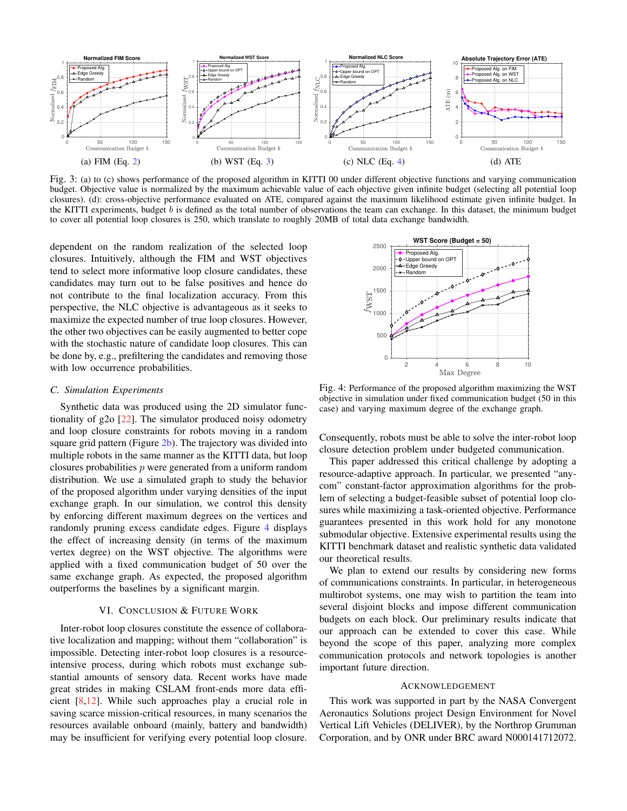<span id="page-7-0"></span>

Fig. 3: (a) to (c) shows performance of the proposed algorithm in KITTI 00 under different objective functions and varying communication budget. Objective value is normalized by the maximum achievable value of each objective given infinite budget (selecting all potential loop closures). (d): cross-objective performance evaluated on ATE, compared against the maximum likelihood estimate given infinite budget. In the KITTI experiments, budget b is defined as the total number of observations the team can exchange. In this dataset, the minimum budget to cover all potential loop closures is 250, which translate to roughly 20MB of total data exchange bandwidth.

dependent on the random realization of the selected loop closures. Intuitively, although the FIM and WST objectives tend to select more informative loop closure candidates, these candidates may turn out to be false positives and hence do not contribute to the final localization accuracy. From this perspective, the NLC objective is advantageous as it seeks to maximize the expected number of true loop closures. However, the other two objectives can be easily augmented to better cope with the stochastic nature of candidate loop closures. This can be done by, e.g., prefiltering the candidates and removing those with low occurrence probabilities.

#### *C. Simulation Experiments*

Synthetic data was produced using the 2D simulator functionality of g2o [\[22\]](#page-8-22). The simulator produced noisy odometry and loop closure constraints for robots moving in a random square grid pattern (Figure  $2b$ ). The trajectory was divided into multiple robots in the same manner as the KITTI data, but loop closures probabilities  $p$  were generated from a uniform random distribution. We use a simulated graph to study the behavior of the proposed algorithm under varying densities of the input exchange graph. In our simulation, we control this density by enforcing different maximum degrees on the vertices and randomly pruning excess candidate edges. Figure [4](#page-7-1) displays the effect of increasing density (in terms of the maximum vertex degree) on the WST objective. The algorithms were applied with a fixed communication budget of 50 over the same exchange graph. As expected, the proposed algorithm outperforms the baselines by a significant margin.

#### VI. CONCLUSION & FUTURE WORK

Inter-robot loop closures constitute the essence of collaborative localization and mapping; without them "collaboration" is impossible. Detecting inter-robot loop closures is a resourceintensive process, during which robots must exchange substantial amounts of sensory data. Recent works have made great strides in making CSLAM front-ends more data efficient [\[8,](#page-8-1)[12\]](#page-8-2). While such approaches play a crucial role in saving scarce mission-critical resources, in many scenarios the resources available onboard (mainly, battery and bandwidth) may be insufficient for verifying every potential loop closure.

<span id="page-7-1"></span>

Fig. 4: Performance of the proposed algorithm maximizing the WST objective in simulation under fixed communication budget (50 in this case) and varying maximum degree of the exchange graph.

Consequently, robots must be able to solve the inter-robot loop closure detection problem under budgeted communication.

This paper addressed this critical challenge by adopting a resource-adaptive approach. In particular, we presented "anycom" constant-factor approximation algorithms for the problem of selecting a budget-feasible subset of potential loop closures while maximizing a task-oriented objective. Performance guarantees presented in this work hold for any monotone submodular objective. Extensive experimental results using the KITTI benchmark dataset and realistic synthetic data validated our theoretical results.

We plan to extend our results by considering new forms of communications constraints. In particular, in heterogeneous multirobot systems, one may wish to partition the team into several disjoint blocks and impose different communication budgets on each block. Our preliminary results indicate that our approach can be extended to cover this case. While beyond the scope of this paper, analyzing more complex communication protocols and network topologies is another important future direction.

### ACKNOWLEDGEMENT

This work was supported in part by the NASA Convergent Aeronautics Solutions project Design Environment for Novel Vertical Lift Vehicles (DELIVER), by the Northrop Grumman Corporation, and by ONR under BRC award N000141712072.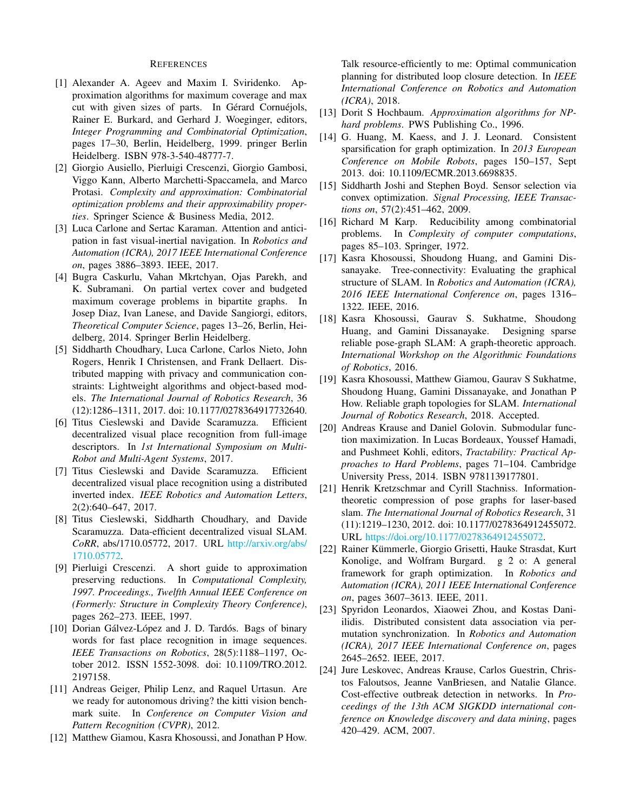#### REFERENCES

- <span id="page-8-19"></span>[1] Alexander A. Ageev and Maxim I. Sviridenko. Approximation algorithms for maximum coverage and max cut with given sizes of parts. In Gérard Cornuéjols, Rainer E. Burkard, and Gerhard J. Woeginger, editors, *Integer Programming and Combinatorial Optimization*, pages 17–30, Berlin, Heidelberg, 1999. pringer Berlin Heidelberg. ISBN 978-3-540-48777-7.
- <span id="page-8-17"></span>[2] Giorgio Ausiello, Pierluigi Crescenzi, Giorgio Gambosi, Viggo Kann, Alberto Marchetti-Spaccamela, and Marco Protasi. *Complexity and approximation: Combinatorial optimization problems and their approximability properties*. Springer Science & Business Media, 2012.
- <span id="page-8-6"></span>[3] Luca Carlone and Sertac Karaman. Attention and anticipation in fast visual-inertial navigation. In *Robotics and Automation (ICRA), 2017 IEEE International Conference on*, pages 3886–3893. IEEE, 2017.
- <span id="page-8-20"></span>[4] Bugra Caskurlu, Vahan Mkrtchyan, Ojas Parekh, and K. Subramani. On partial vertex cover and budgeted maximum coverage problems in bipartite graphs. In Josep Diaz, Ivan Lanese, and Davide Sangiorgi, editors, *Theoretical Computer Science*, pages 13–26, Berlin, Heidelberg, 2014. Springer Berlin Heidelberg.
- <span id="page-8-3"></span>[5] Siddharth Choudhary, Luca Carlone, Carlos Nieto, John Rogers, Henrik I Christensen, and Frank Dellaert. Distributed mapping with privacy and communication constraints: Lightweight algorithms and object-based models. *The International Journal of Robotics Research*, 36 (12):1286–1311, 2017. doi: 10.1177/0278364917732640.
- <span id="page-8-0"></span>[6] Titus Cieslewski and Davide Scaramuzza. Efficient decentralized visual place recognition from full-image descriptors. In *1st International Symposium on Multi-Robot and Multi-Agent Systems*, 2017.
- <span id="page-8-4"></span>[7] Titus Cieslewski and Davide Scaramuzza. Efficient decentralized visual place recognition using a distributed inverted index. *IEEE Robotics and Automation Letters*, 2(2):640–647, 2017.
- <span id="page-8-1"></span>[8] Titus Cieslewski, Siddharth Choudhary, and Davide Scaramuzza. Data-efficient decentralized visual SLAM. *CoRR*, abs/1710.05772, 2017. URL [http://arxiv.org/abs/](http://arxiv.org/abs/1710.05772) [1710.05772.](http://arxiv.org/abs/1710.05772)
- <span id="page-8-18"></span>[9] Pierluigi Crescenzi. A short guide to approximation preserving reductions. In *Computational Complexity, 1997. Proceedings., Twelfth Annual IEEE Conference on (Formerly: Structure in Complexity Theory Conference)*, pages 262–273. IEEE, 1997.
- <span id="page-8-12"></span>[10] Dorian Gálvez-López and J. D. Tardós. Bags of binary words for fast place recognition in image sequences. *IEEE Transactions on Robotics*, 28(5):1188–1197, October 2012. ISSN 1552-3098. doi: 10.1109/TRO.2012. 2197158.
- <span id="page-8-23"></span>[11] Andreas Geiger, Philip Lenz, and Raquel Urtasun. Are we ready for autonomous driving? the kitti vision benchmark suite. In *Conference on Computer Vision and Pattern Recognition (CVPR)*, 2012.
- <span id="page-8-2"></span>[12] Matthew Giamou, Kasra Khosoussi, and Jonathan P How.

Talk resource-efficiently to me: Optimal communication planning for distributed loop closure detection. In *IEEE International Conference on Robotics and Automation (ICRA)*, 2018.

- <span id="page-8-15"></span>[13] Dorit S Hochbaum. *Approximation algorithms for NPhard problems*. PWS Publishing Co., 1996.
- <span id="page-8-8"></span>[14] G. Huang, M. Kaess, and J. J. Leonard. Consistent sparsification for graph optimization. In *2013 European Conference on Mobile Robots*, pages 150–157, Sept 2013. doi: 10.1109/ECMR.2013.6698835.
- <span id="page-8-14"></span>[15] Siddharth Joshi and Stephen Boyd. Sensor selection via convex optimization. *Signal Processing, IEEE Transactions on*, 57(2):451–462, 2009.
- <span id="page-8-13"></span>[16] Richard M Karp. Reducibility among combinatorial problems. In *Complexity of computer computations*, pages 85–103. Springer, 1972.
- <span id="page-8-11"></span>[17] Kasra Khosoussi, Shoudong Huang, and Gamini Dissanayake. Tree-connectivity: Evaluating the graphical structure of SLAM. In *Robotics and Automation (ICRA), 2016 IEEE International Conference on*, pages 1316– 1322. IEEE, 2016.
- <span id="page-8-10"></span>[18] Kasra Khosoussi, Gaurav S. Sukhatme, Shoudong Huang, and Gamini Dissanayake. Designing sparse reliable pose-graph SLAM: A graph-theoretic approach. *International Workshop on the Algorithmic Foundations of Robotics*, 2016.
- <span id="page-8-7"></span>[19] Kasra Khosoussi, Matthew Giamou, Gaurav S Sukhatme, Shoudong Huang, Gamini Dissanayake, and Jonathan P How. Reliable graph topologies for SLAM. *International Journal of Robotics Research*, 2018. Accepted.
- <span id="page-8-16"></span>[20] Andreas Krause and Daniel Golovin. Submodular function maximization. In Lucas Bordeaux, Youssef Hamadi, and Pushmeet Kohli, editors, *Tractability: Practical Approaches to Hard Problems*, pages 71–104. Cambridge University Press, 2014. ISBN 9781139177801.
- <span id="page-8-9"></span>[21] Henrik Kretzschmar and Cyrill Stachniss. Informationtheoretic compression of pose graphs for laser-based slam. *The International Journal of Robotics Research*, 31 (11):1219–1230, 2012. doi: 10.1177/0278364912455072. URL [https://doi.org/10.1177/0278364912455072.](https://doi.org/10.1177/0278364912455072)
- <span id="page-8-22"></span>[22] Rainer Kümmerle, Giorgio Grisetti, Hauke Strasdat, Kurt Konolige, and Wolfram Burgard. g 2 o: A general framework for graph optimization. In *Robotics and Automation (ICRA), 2011 IEEE International Conference on*, pages 3607–3613. IEEE, 2011.
- <span id="page-8-5"></span>[23] Spyridon Leonardos, Xiaowei Zhou, and Kostas Daniilidis. Distributed consistent data association via permutation synchronization. In *Robotics and Automation (ICRA), 2017 IEEE International Conference on*, pages 2645–2652. IEEE, 2017.
- <span id="page-8-21"></span>[24] Jure Leskovec, Andreas Krause, Carlos Guestrin, Christos Faloutsos, Jeanne VanBriesen, and Natalie Glance. Cost-effective outbreak detection in networks. In *Proceedings of the 13th ACM SIGKDD international conference on Knowledge discovery and data mining*, pages 420–429. ACM, 2007.